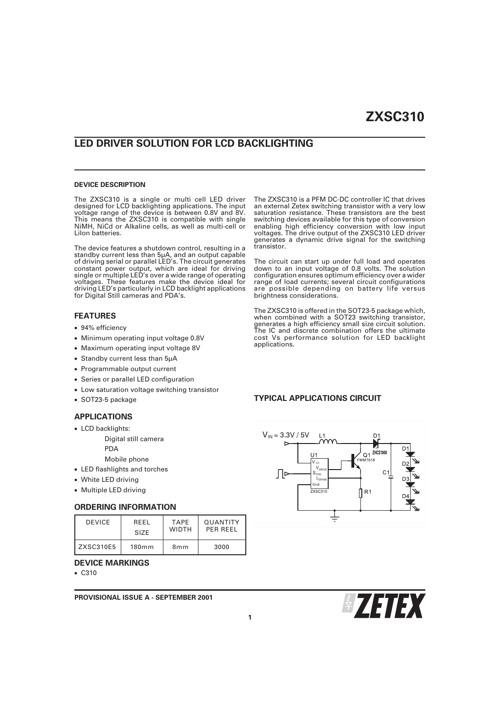# **LED DRIVER SOLUTION FOR LCD BACKLIGHTING**

#### **DEVICE DESCRIPTION**

The ZXSC310 is a single or multi cell LED driver designed for LCD backlighting applications. The input voltage range of the device is between 0.8V and 8V. This means the ZXSC310 is compatible with single NiMH, NiCd or Alkaline cells, as well as multi-cell or LiIon batteries.

The device features a shutdown control, resulting in a standby current less than 5µA, and an output capable of driving serial or parallel LED's. The circuit generates constant power output, which are ideal for driving single or multiple LED's over a wide range of operating voltages. These features make the device ideal for driving LED's particularly in LCD backlight applications for Digital Still cameras and PDA's.

### **FEATURES**

- 94% efficiency
- Minimum operating input voltage 0.8V
- Maximum operating input voltage 8V
- Standby current less than 5µA
- Programmable output current
- Series or parallel LED configuration
- Low saturation voltage switching transistor
- SOT23-5 package

### **APPLICATIONS**

- LCD backlights:
	- Digital still camera
	- PDA
	- Mobile phone
- LED flashlights and torches
- White LED driving
- Multiple LED driving

### **ORDERING INFORMATION**

| <b>DEVICE</b> | <b>RFFI</b>       | <b>TAPF</b>     | <b>OUANTITY</b> |  |
|---------------|-------------------|-----------------|-----------------|--|
|               | SI <sub>7</sub> F | <b>WIDTH</b>    | PFR RFFI        |  |
| ZXSC310E5     | 180 <sub>mm</sub> | 8 <sub>mm</sub> | 3000            |  |

#### **DEVICE MARKINGS**

C310

**PROVISIONAL ISSUE A - SEPTEMBER 2001**

The ZXSC310 is a PFM DC-DC controller IC that drives an external Zetex switching transistor with a very low saturation resistance. These transistors are the best switching devices available for this type of conversion enabling high efficiency conversion with low input voltages. The drive output of the ZXSC310 LED driver generates a dynamic drive signal for the switching transistor.

The circuit can start up under full load and operates down to an input voltage of 0.8 volts. The solution configuration ensures optimum efficiency over a wider range of load currents; several circuit configurations are possible depending on battery life versus brightness considerations.

The ZXSC310 is offered in the SOT23-5 package which, when combined with a SOT23 switching transistor, generates a high efficiency small size circuit solution. The IC and discrete combination offers the ultimate cost Vs performance solution for LED backlight applications.

#### **TYPICAL APPLICATIONS CIRCUIT**



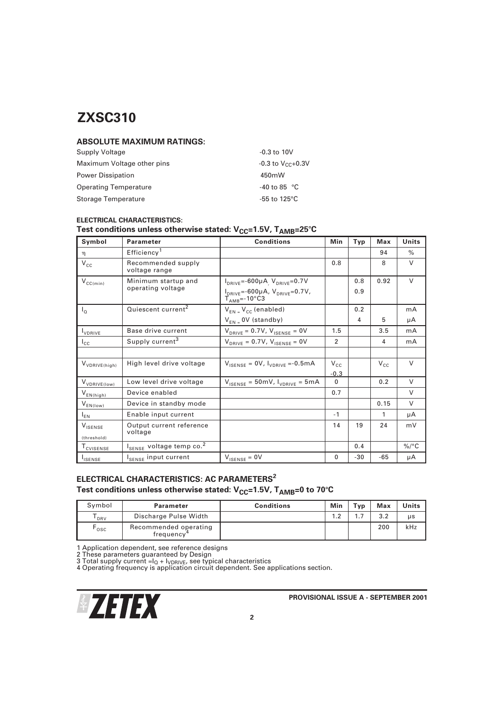# **ABSOLUTE MAXIMUM RATINGS:**

| Supply Voltage               | $-0.3$ to 10V                   |
|------------------------------|---------------------------------|
| Maximum Voltage other pins   | $-0.3$ to $V_{CC}+0.3V$         |
| <b>Power Dissipation</b>     | 450mW                           |
| <b>Operating Temperature</b> | $-40$ to 85 °C                  |
| Storage Temperature          | -55 to 125 $\mathrm{^{\circ}C}$ |

## **ELECTRICAL CHARACTERISTICS:**

# Test conditions unless otherwise stated:  $V_{CC}=1.5V$ , T<sub>AMB</sub>=25°C

| Symbol                    | <b>Parameter</b>                                 | <b>Conditions</b>                                                            | Min            | Typ | Max          | Units         |
|---------------------------|--------------------------------------------------|------------------------------------------------------------------------------|----------------|-----|--------------|---------------|
| η                         | Efficiency <sup>1</sup>                          |                                                                              |                |     | 94           | $\frac{0}{0}$ |
| $V_{cc}$                  | Recommended supply<br>voltage range              |                                                                              | 0.8            |     | 8            | $\vee$        |
| $V_{CC(min)}$             | Minimum startup and                              | $I_{DRIVE} = -600\mu A$ , $V_{DRIVE} = 0.7V$                                 |                | 0.8 | 0.92         | $\vee$        |
|                           | operating voltage                                | $I_{DRIVE}$ =-600µA, $V_{DRIVE}$ =0.7V,<br>$T_{\text{AMB}} = -10^{\circ}$ C3 |                | 0.9 |              |               |
| $I_{\Omega}$              | Quiescent current <sup>2</sup>                   | $V_{EN} = V_{CC}$ (enabled)                                                  |                | 0.2 |              | mA            |
|                           |                                                  | $V_{FN}$ = 0V (standby)                                                      |                | 4   | 5            | μA            |
| <b>I</b> VDRIVE           | Base drive current                               | $V_{DRIVE} = 0.7V, V_{ISENSE} = 0V$                                          | 1.5            |     | 3.5          | mA            |
| $I_{\text{CC}}$           | Supply current <sup>3</sup>                      | $V_{DBIVE} = 0.7V, V_{ISENSE} = 0V$                                          | $\mathfrak{p}$ |     | 4            | mA            |
|                           |                                                  |                                                                              |                |     |              |               |
| V <sub>VDRIVE(high)</sub> | High level drive voltage                         | $V_{\text{ISENSE}} = 0 V, V_{\text{VDRIVE}} = -0.5 \text{mA}$                | $V_{\rm CC}$   |     | $V_{\rm CC}$ | $\vee$        |
|                           |                                                  |                                                                              | $-0.3$         |     |              |               |
| V <sub>VDRIVE(Iow)</sub>  | Low level drive voltage                          | $V_{\text{ISENSE}} = 50 \text{mV}$ , $I_{\text{VDRIVE}} = 5 \text{mA}$       | $\Omega$       |     | 0.2          | $\vee$        |
| $V_{EN(high)}$            | Device enabled                                   |                                                                              | 0.7            |     |              | $\vee$        |
| $V_{EN(Iow)}$             | Device in standby mode                           |                                                                              |                |     | 0.15         | $\vee$        |
| $I_{EN}$                  | Enable input current                             |                                                                              | $-1$           |     | 1            | μA            |
| $V_{\text{ISENSE}}$       | Output current reference<br>voltage              |                                                                              | 14             | 19  | 24           | mV            |
| (threshold)               |                                                  |                                                                              |                |     |              |               |
| T <sub>CVISENSE</sub>     | l <sub>sense</sub> voltage temp co. <sup>2</sup> |                                                                              |                | 0.4 |              | $\%$ /°C      |
| <b>I</b> ISENSE           | l <sub>sense</sub> input current                 | $V_{\text{ISENSE}} = 0V$                                                     | 0              | -30 | $-65$        | μA            |

# **ELECTRICAL CHARACTERISTICS: AC PARAMETERS<sup>2</sup>** Test conditions unless otherwise stated: V<sub>CC</sub>=1.5V, T<sub>AMB</sub>=0 to 70°C

| Symbol | Parameter                                       | <b>Conditions</b> | Min | Typ | Max | Units |
|--------|-------------------------------------------------|-------------------|-----|-----|-----|-------|
| DRV    | Discharge Pulse Width                           |                   | 1.2 | ، ۱ | 3.2 | μs    |
| osc    | Recommended operating<br>frequency <sup>4</sup> |                   |     |     | 200 | kHz   |

1 Application dependent, see reference designs<br>2 These parameters guaranteed by Design<br>3 Total supply current =lo + lvpRivE, see typical characteristics<br>4 Operating frequency is application circuit dependent. See applicati

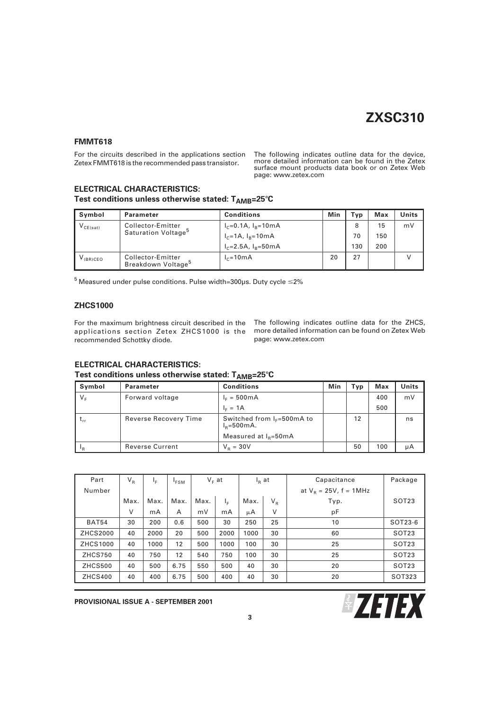### **FMMT618**

For the circuits described in the applications section Zetex FMMT618 is the recommended pass transistor.

The following indicates outline data for the device, more detailed information can be found in the Zetex surface mount products data book or on Zetex Web page: www.zetex.com

# **ELECTRICAL CHARACTERISTICS:**

Test conditions unless otherwise stated: T<sub>AMB</sub>=25°C

| Symbol        | Parameter                                           | <b>Conditions</b>           | Min | Typ | Max | Units |
|---------------|-----------------------------------------------------|-----------------------------|-----|-----|-----|-------|
| $V_{CE(sat)}$ | Collector-Emitter                                   | $I_c = 0.1A$ , $I_R = 10mA$ |     | 8   | 15  | mV    |
|               | Saturation Voltage <sup>5</sup>                     | $I_c = 1A$ , $I_R = 10mA$   |     | 70  | 150 |       |
|               |                                                     | $I_c = 2.5A$ , $I_B = 50mA$ |     | 130 | 200 |       |
| $V_{(BR)CEO}$ | Collector-Emitter<br>Breakdown Voltage <sup>5</sup> | $I_c = 10 \text{ mA}$       | 20  | 27  |     |       |

 $^5$  Measured under pulse conditions. Pulse width=300µs. Duty cycle  $\leq$ 2%

### **ZHCS1000**

applications section Zetex ZHCS1000 is the recommended Schottky diode.

For the maximum brightness circuit described in the The following indicates outline data for the ZHCS, more detailed information can be found on Zetex Web page: www.zetex.com

# **ELECTRICAL CHARACTERISTICS:**

| Test conditions unless otherwise stated: $T_{AMB}$ =25 $^{\circ}$ C |  |  |
|---------------------------------------------------------------------|--|--|
|---------------------------------------------------------------------|--|--|

| Symbol  | Parameter              | <b>Conditions</b>                                     | Min | Typ | Max | Units |
|---------|------------------------|-------------------------------------------------------|-----|-----|-----|-------|
| $V_{F}$ | Forward voltage        | $I_F = 500mA$                                         |     |     | 400 | mV    |
|         |                        | $IE = 1A$                                             |     |     | 500 |       |
|         | Reverse Recovery Time  | Switched from $I_F = 500 \text{mA}$ to<br>$IB=500mA.$ |     | 12  |     | ns    |
|         |                        | Measured at $I_B = 50 \text{mA}$                      |     |     |     |       |
| l p     | <b>Reverse Current</b> | $V_{B} = 30V$                                         |     | 50  | 100 | μA    |

| Part            | $V_R$ | ΙF   | <sup>I</sup> FSM |      | $V_F$ at |      | $I_R$ at | Capacitance               | Package           |
|-----------------|-------|------|------------------|------|----------|------|----------|---------------------------|-------------------|
| Number          |       |      |                  |      |          |      |          | at $V_B = 25V$ , f = 1MHz |                   |
|                 | Max.  | Max. | Max.             | Max. | ΙF       | Max. | $V_R$    | Typ.                      | SOT <sub>23</sub> |
|                 | V     | mA   | A                | mV   | mA       | μA   | $\vee$   | pF                        |                   |
| <b>BAT54</b>    | 30    | 200  | 0.6              | 500  | 30       | 250  | 25       | 10                        | SOT23-6           |
| <b>ZHCS2000</b> | 40    | 2000 | 20               | 500  | 2000     | 1000 | 30       | 60                        | SOT <sub>23</sub> |
| ZHCS1000        | 40    | 1000 | 12               | 500  | 1000     | 100  | 30       | 25                        | SOT <sub>23</sub> |
| <b>ZHCS750</b>  | 40    | 750  | 12               | 540  | 750      | 100  | 30       | 25                        | SOT <sub>23</sub> |
| <b>ZHCS500</b>  | 40    | 500  | 6.75             | 550  | 500      | 40   | 30       | 20                        | SOT <sub>23</sub> |
| <b>ZHCS400</b>  | 40    | 400  | 6.75             | 500  | 400      | 40   | 30       | 20                        | SOT323            |

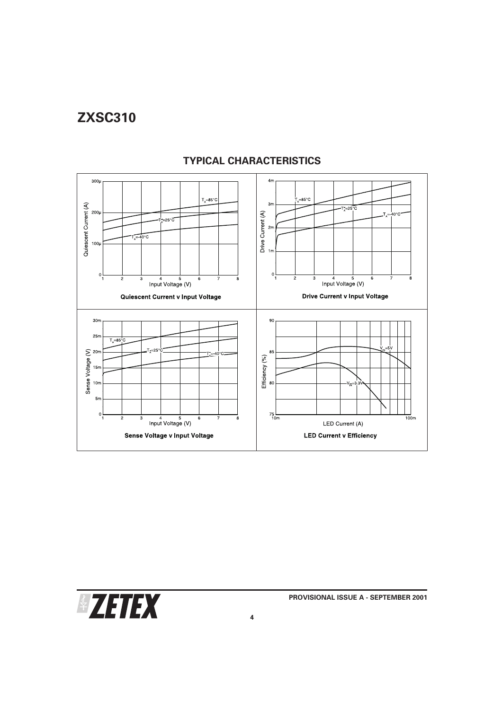

# **TYPICAL CHARACTERISTICS**

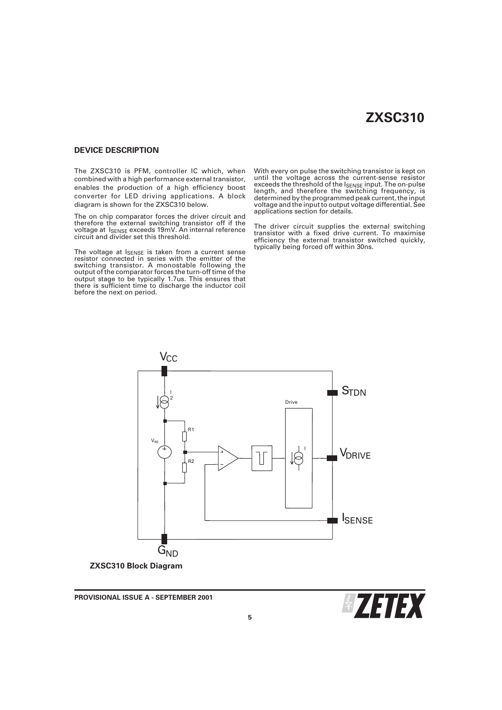#### **DEVICE DESCRIPTION**

The ZXSC310 is PFM, controller IC which, when combined with a high performance external transistor, enables the production of a high efficiency boost converter for LED driving applications. A block diagram is shown for the ZXSC310 below.

The on chip comparator forces the driver circuit and therefore the external switching transistor off if the voltage at ISENSE exceeds 19mV. An internal reference circuit and divider set this threshold.

The voltage at I<sub>SENSE</sub> is taken from a current sense<br>resistor connected in series with the emitter of the<br>switching transistor. A monostable following the output of the comparator forces the turn-off time of the output stage to be typically 1.7us. This ensures that there is sufficient time to discharge the inductor coil before the next on period.

With every on pulse the switching transistor is kept on until the voltage across the current-sense resistor exceeds the threshold of the ISENSE input. The on-pulse length, and therefore the switching frequency, is determined by the programmed peak current, the input voltage and the input to output voltage differential. See applications section for details.

The driver circuit supplies the external switching transistor with a fixed drive current. To maximise efficiency the external transistor switched quickly, typically being forced off within 30ns.



**PROVISIONAL ISSUE A - SEPTEMBER 2001**

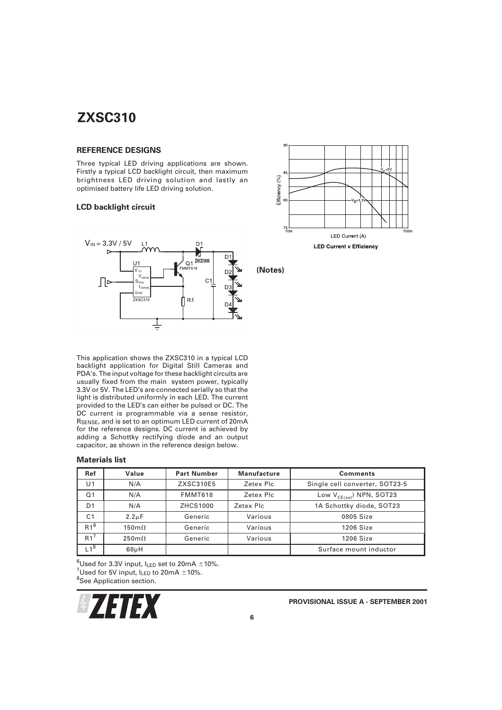### **REFERENCE DESIGNS**

Three typical LED driving applications are shown. Firstly a typical LCD backlight circuit, then maximum brightness LED driving solution and lastly an optimised battery life LED driving solution.

# **LCD backlight circuit**



This application shows the ZXSC310 in a typical LCD backlight application for Digital Still Cameras and PDA's. The input voltage for these backlight circuits are usually fixed from the main system power, typically 3.3V or 5V. The LED's are connected serially so that the light is distributed uniformly in each LED. The current provided to the LED's can either be pulsed or DC. The DC current is programmable via a sense resistor, RSENSE, and is set to an optimum LED current of 20mA for the reference designs. DC current is achieved by adding a Schottky rectifying diode and an output capacitor, as shown in the reference design below.

#### **Materials list**

| Ref            | Value                | <b>Part Number</b> | <b>Manufacture</b> | <b>Comments</b>                |
|----------------|----------------------|--------------------|--------------------|--------------------------------|
| U1             | N/A                  | ZXSC310E5          | Zetex Plc          | Single cell converter, SOT23-5 |
| Q <sub>1</sub> | N/A                  | FMMT618            | Zetex Plc          | Low $V_{CE(sat)}$ NPN, SOT23   |
| D <sub>1</sub> | N/A                  | ZHCS1000           | Zetex Plc          | 1A Schottky diode, SOT23       |
| C <sub>1</sub> | $2.2 \mu F$          | Generic            | Various            | 0805 Size                      |
| $R1^6$         | $150 \text{m}\Omega$ | Generic            | Various            | 1206 Size                      |
| $R1^7$         | $250 \text{m}\Omega$ | Generic            | Various            | 1206 Size                      |
| $-1^8$         | $68\mu H$            |                    |                    | Surface mount inductor         |

 $^{6}$ Used for 3.3V input, I<sub>LED</sub> set to 20mA  $\pm$ 10%.<br><sup>7</sup>Used for 5V input, Ium to 20mA  $\pm$ 10%. Used for 5V input,  $I_{LED}$  to 20mA  $\pm$ 10%. <sup>8</sup>See Application section.







**(Notes)**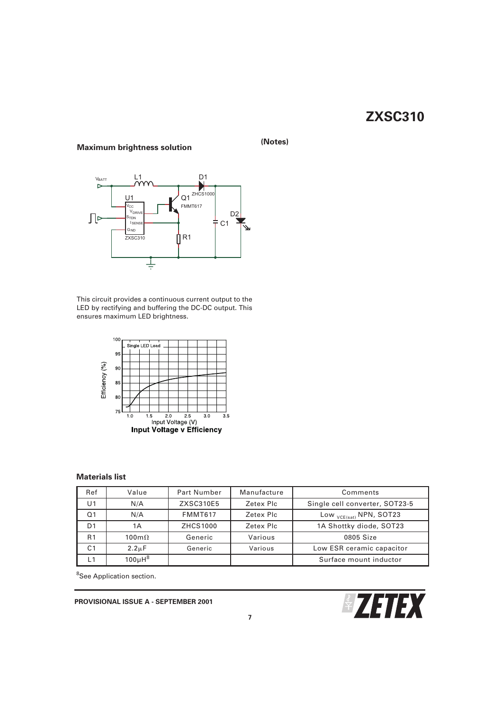# **Maximum brightness solution (Notes)**



This circuit provides a continuous current output to the LED by rectifying and buffering the DC-DC output. This ensures maximum LED brightness.



# **Materials list**

| Ref            | Value                | Part Number     | Manufacture | Comments                           |
|----------------|----------------------|-----------------|-------------|------------------------------------|
| U1             | N/A                  | ZXSC310E5       | Zetex Plc   | Single cell converter, SOT23-5     |
| Q <sub>1</sub> | N/A                  | <b>FMMT617</b>  | Zetex Plc   | Low <sub>VCE(sat)</sub> NPN, SOT23 |
| D1             | 1Α                   | <b>ZHCS1000</b> | Zetex Plc   | 1A Shottky diode, SOT23            |
| R <sub>1</sub> | $100 \text{m}\Omega$ | Generic         | Various     | 0805 Size                          |
| C1             | $2.2 \mu F$          | Generic         | Various     | Low ESR ceramic capacitor          |
|                | $100\mu H^8$         |                 |             | Surface mount inductor             |

<sup>8</sup>See Application section.

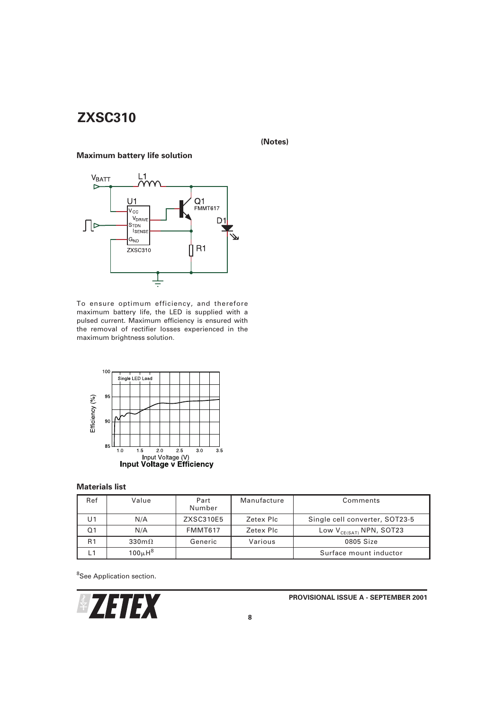# **(Notes)**

# **Maximum battery life solution**



To ensure optimum efficiency, and therefore maximum battery life, the LED is supplied with a pulsed current. Maximum efficiency is ensured with the removal of rectifier losses experienced in the maximum brightness solution.



# **Materials list**

| Ref            | Value                   | Part<br>Number | Manufacture | Comments                       |
|----------------|-------------------------|----------------|-------------|--------------------------------|
| U1             | N/A                     | ZXSC310E5      | Zetex Plc   | Single cell converter, SOT23-5 |
| Ο1             | N/A                     | FMMT617        | Zetex Plc   | Low $V_{CE(SAT)}$ NPN, SOT23   |
| R <sub>1</sub> | $330 \text{m}\Omega$    | Generic        | Various     | 0805 Size                      |
|                | $100\mu$ H <sup>8</sup> |                |             | Surface mount inductor         |

<sup>8</sup>See Application section.

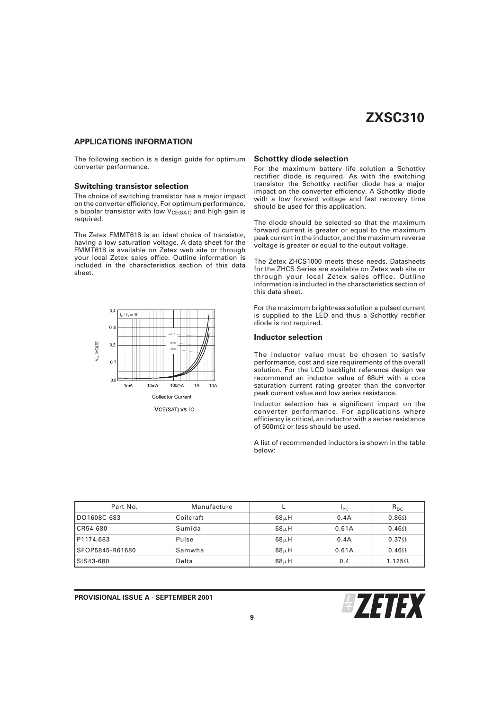### **APPLICATIONS INFORMATION**

The following section is a design guide for optimum converter performance.

#### **Switching transistor selection**

The choice of switching transistor has a major impact on the converter efficiency. For optimum performance, a bipolar transistor with low  $V_{CE(SAT)}$  and high gain is required.

The Zetex FMMT618 is an ideal choice of transistor, having a low saturation voltage. A data sheet for the FMMT618 is available on Zetex web site or through your local Zetex sales office. Outline information is included in the characteristics section of this data sheet.



#### **Schottky diode selection**

For the maximum battery life solution a Schottky rectifier diode is required. As with the switching transistor the Schottky rectifier diode has a major impact on the converter efficiency. A Schottky diode with a low forward voltage and fast recovery time should be used for this application.

The diode should be selected so that the maximum forward current is greater or equal to the maximum peak current in the inductor, and the maximum reverse voltage is greater or equal to the output voltage.

The Zetex ZHCS1000 meets these needs. Datasheets for the ZHCS Series are available on Zetex web site or through your local Zetex sales office. Outline information is included in the characteristics section of this data sheet.

For the maximum brightness solution a pulsed current is supplied to the LED and thus a Schottky rectifier diode is not required.

#### **Inductor selection**

The inductor value must be chosen to satisfy performance, cost and size requirements of the overall solution. For the LCD backlight reference design we recommend an inductor value of 68uH with a core saturation current rating greater than the converter peak current value and low series resistance.

Inductor selection has a significant impact on the converter performance. For applications where efficiency is critical, an inductor with a series resistance of 500m $\Omega$  or less should be used.

A list of recommended inductors is shown in the table below:

| Part No.        | Manufacture |                   | P <sub>K</sub> | $R_{DC}$      |
|-----------------|-------------|-------------------|----------------|---------------|
| DO1608C-683     | Coilcraft   | $68\mu H$         | 0.4A           | $0.86\Omega$  |
| CR54-680        | l Sumida    | 68 <sub>µ</sub> H | 0.61A          | $0.46\Omega$  |
| P1174.683       | Pulse       | $68\mu H$         | 0.4A           | $0.37\Omega$  |
| SFOP5845-R61680 | l Samwha    | 68 <sub>µ</sub> H | 0.61A          | $0.46\Omega$  |
| SIS43-680       | Delta       | $68\mu H$         | 0.4            | $1.125\Omega$ |

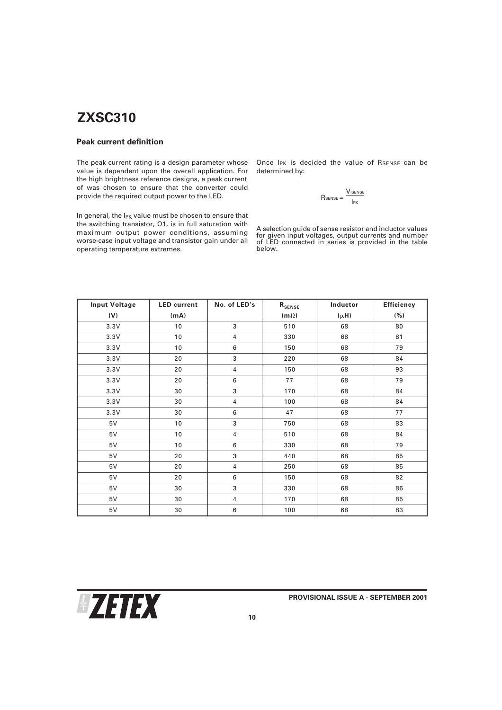## **Peak current definition**

The peak current rating is a design parameter whose value is dependent upon the overall application. For the high brightness reference designs, a peak current of was chosen to ensure that the converter could provide the required output power to the LED.

In general, the I<sub>PK</sub> value must be chosen to ensure that the switching transistor, Q1, is in full saturation with maximum output power conditions, assuming worse-case input voltage and transistor gain under all operating temperature extremes.

Once  $I_{PK}$  is decided the value of  $R_{SENSE}$  can be determined by:

$$
R_{\text{SENSE}} = \frac{V_{\text{ISENSE}}}{I_{\text{PK}}}
$$

A selection guide of sense resistor and inductor values for given input voltages, output currents and number of LED connected in series is provided in the table below.

| <b>Input Voltage</b> | <b>LED</b> current | No. of LED's   | ${\bf R}_{\tt SENSE}$ | Inductor  | <b>Efficiency</b> |
|----------------------|--------------------|----------------|-----------------------|-----------|-------------------|
| (V)                  | (mA)               |                | $(m \Omega)$          | $(\mu H)$ | ( %)              |
| 3.3V                 | 10                 | 3              | 510                   | 68        | 80                |
| 3.3V                 | 10                 | 4              | 330                   | 68        | 81                |
| 3.3V                 | 10                 | 6              | 150                   | 68        | 79                |
| 3.3V                 | 20                 | 3              | 220                   | 68        | 84                |
| 3.3V                 | 20                 | 4              | 150                   | 68        | 93                |
| 3.3V                 | 20                 | 6              | 77                    | 68        | 79                |
| 3.3V                 | 30                 | 3              | 170                   | 68        | 84                |
| 3.3V                 | 30                 | 4              | 100                   | 68        | 84                |
| 3.3V                 | 30                 | 6              | 47                    | 68        | 77                |
| 5V                   | 10                 | 3              | 750                   | 68        | 83                |
| 5V                   | 10                 | 4              | 510                   | 68        | 84                |
| 5V                   | 10                 | 6              | 330                   | 68        | 79                |
| 5V                   | 20                 | 3              | 440                   | 68        | 85                |
| 5V                   | 20                 | $\overline{4}$ | 250                   | 68        | 85                |
| 5V                   | 20                 | 6              | 150                   | 68        | 82                |
| 5V                   | 30                 | 3              | 330                   | 68        | 86                |
| 5V                   | 30                 | $\overline{4}$ | 170                   | 68        | 85                |
| 5V                   | 30                 | 6              | 100                   | 68        | 83                |

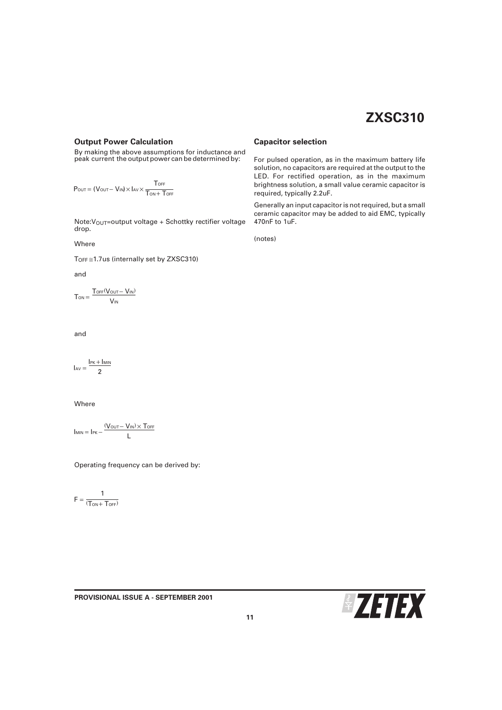### **Output Power Calculation**

By making the above assumptions for inductance and peak current the output power can be determined by:

$$
P_{\text{OUT}} = (V_{\text{OUT}} - V_{\text{IN}}) \times I_{\text{AV}} \times \frac{T_{\text{OFF}}}{T_{\text{ON}} + T_{\text{OFF}}}
$$

Note: V<sub>OUT</sub>=output voltage + Schottky rectifier voltage drop.

Where

TOFF ≅1.7us (internally set by ZXSC310)

and

$$
T_{\text{ON}} = \frac{T_{\text{OFF}}(V_{\text{OUT}} - V_{\text{IN}})}{V_{\text{IN}}}
$$

and

$$
I_{AV}=\frac{I_{PK}+I_{MIN}}{2}
$$

Where

$$
I_{MIN} = I_{PK} - \frac{(V_{OUT} - V_{IN}) \times T_{OFF}}{L}
$$

Operating frequency can be derived by:

**PROVISIONAL ISSUE A - SEPTEMBER 2001**

$$
F=\frac{1}{(T_{ON}+T_{OFF})}
$$

#### **Capacitor selection**

For pulsed operation, as in the maximum battery life solution, no capacitors are required at the output to the LED. For rectified operation, as in the maximum brightness solution, a small value ceramic capacitor is required, typically 2.2uF.

Generally an input capacitor is not required, but a small ceramic capacitor may be added to aid EMC, typically 470nF to 1uF.

(notes)

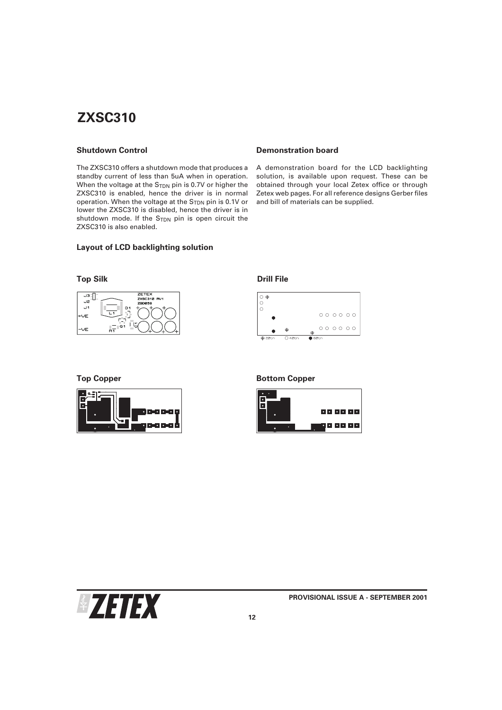### **Shutdown Control**

The ZXSC310 offers a shutdown mode that produces a standby current of less than 5uA when in operation. When the voltage at the  $S<sub>TDN</sub>$  pin is 0.7V or higher the ZXSC310 is enabled, hence the driver is in normal operation. When the voltage at the S<sub>TDN</sub> pin is 0.1V or lower the ZXSC310 is disabled, hence the driver is in shutdown mode. If the S<sub>TDN</sub> pin is open circuit the ZXSC310 is also enabled.

### **Layout of LCD backlighting solution**

### **Top Silk Drill File**





### **Demonstration board**

A demonstration board for the LCD backlighting solution, is available upon request. These can be obtained through your local Zetex office or through Zetex web pages. For all reference designs Gerber files and bill of materials can be supplied.



#### **Top Copper Bottom Copper**



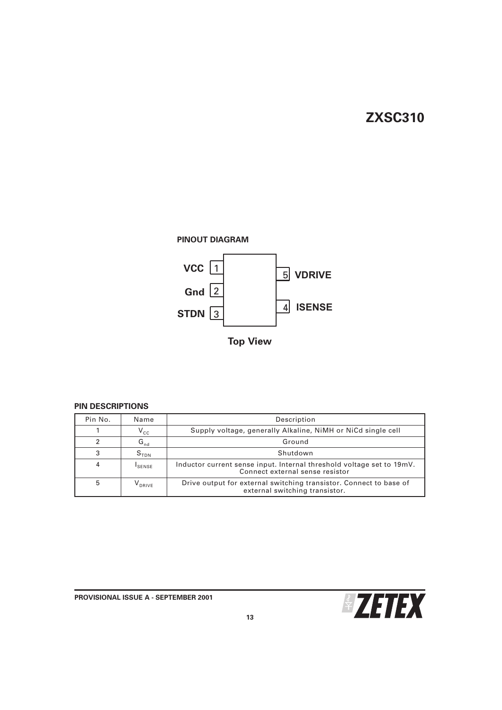

**Top View**

# **PIN DESCRIPTIONS**

| Pin No. | Name               | Description                                                                                              |  |
|---------|--------------------|----------------------------------------------------------------------------------------------------------|--|
|         | $V_{cc}$           | Supply voltage, generally Alkaline, NiMH or NiCd single cell                                             |  |
| ົ       | $G_{nd}$           | Ground                                                                                                   |  |
| 3       | S <sub>TDN</sub>   | Shutdown                                                                                                 |  |
| 4       | <sup>I</sup> SENSE | Inductor current sense input. Internal threshold voltage set to 19mV.<br>Connect external sense resistor |  |
| 5       | V <sub>DRIVE</sub> | Drive output for external switching transistor. Connect to base of<br>external switching transistor.     |  |